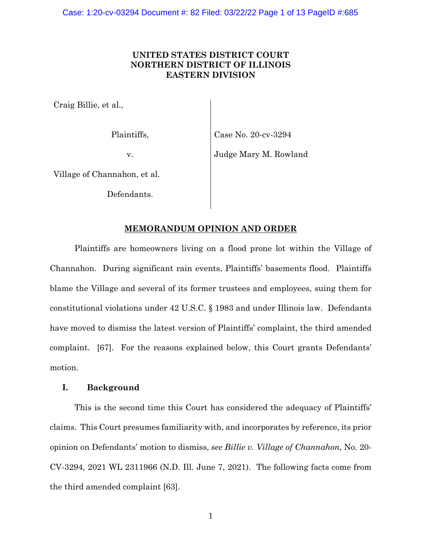# **UNITED STATES DISTRICT COURT NORTHERN DISTRICT OF ILLINOIS EASTERN DIVISION**

Craig Billie, et al.,

Plaintiffs,

Case No. 20-cv-3294

v.

Judge Mary M. Rowland

Village of Channahon, et al.

Defendants.

# **MEMORANDUM OPINION AND ORDER**

Plaintiffs are homeowners living on a flood prone lot within the Village of Channahon. During significant rain events, Plaintiffs' basements flood. Plaintiffs blame the Village and several of its former trustees and employees, suing them for constitutional violations under 42 U.S.C. § 1983 and under Illinois law. Defendants have moved to dismiss the latest version of Plaintiffs' complaint, the third amended complaint. [67]. For the reasons explained below, this Court grants Defendants' motion.

## **I. Background**

This is the second time this Court has considered the adequacy of Plaintiffs' claims. This Court presumes familiarity with, and incorporates by reference, its prior opinion on Defendants' motion to dismiss, *see Billie v. Village of Channahon*, No. 20- CV-3294, 2021 WL 2311966 (N.D. Ill. June 7, 2021). The following facts come from the third amended complaint [63].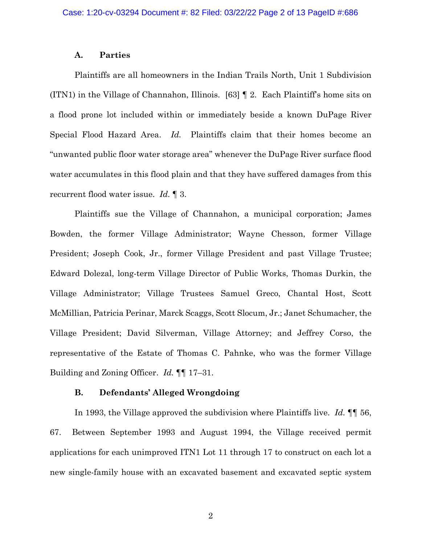#### **A. Parties**

Plaintiffs are all homeowners in the Indian Trails North, Unit 1 Subdivision (ITN1) in the Village of Channahon, Illinois. [63] ¶ 2. Each Plaintiff's home sits on a flood prone lot included within or immediately beside a known DuPage River Special Flood Hazard Area. *Id.* Plaintiffs claim that their homes become an "unwanted public floor water storage area" whenever the DuPage River surface flood water accumulates in this flood plain and that they have suffered damages from this recurrent flood water issue. *Id.* ¶ 3.

Plaintiffs sue the Village of Channahon, a municipal corporation; James Bowden, the former Village Administrator; Wayne Chesson, former Village President; Joseph Cook, Jr., former Village President and past Village Trustee; Edward Dolezal, long-term Village Director of Public Works, Thomas Durkin, the Village Administrator; Village Trustees Samuel Greco, Chantal Host, Scott McMillian, Patricia Perinar, Marck Scaggs, Scott Slocum, Jr.; Janet Schumacher, the Village President; David Silverman, Village Attorney; and Jeffrey Corso, the representative of the Estate of Thomas C. Pahnke, who was the former Village Building and Zoning Officer. *Id.* ¶¶ 17–31.

### **B. Defendants' Alleged Wrongdoing**

In 1993, the Village approved the subdivision where Plaintiffs live. *Id.* ¶¶ 56, 67. Between September 1993 and August 1994, the Village received permit applications for each unimproved ITN1 Lot 11 through 17 to construct on each lot a new single-family house with an excavated basement and excavated septic system

2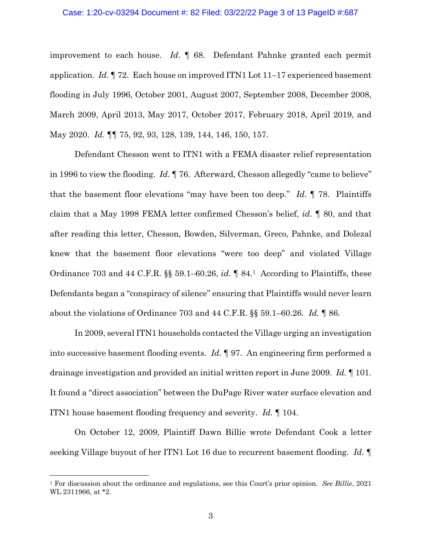### Case: 1:20-cv-03294 Document #: 82 Filed: 03/22/22 Page 3 of 13 PageID #:687

improvement to each house. *Id.* ¶ 68. Defendant Pahnke granted each permit application. *Id.* ¶ 72. Each house on improved ITN1 Lot 11–17 experienced basement flooding in July 1996, October 2001, August 2007, September 2008, December 2008, March 2009, April 2013, May 2017, October 2017, February 2018, April 2019, and May 2020. *Id.* ¶¶ 75, 92, 93, 128, 139, 144, 146, 150, 157.

Defendant Chesson went to ITN1 with a FEMA disaster relief representation in 1996 to view the flooding. *Id.* ¶ 76. Afterward, Chesson allegedly "came to believe" that the basement floor elevations "may have been too deep." *Id.* ¶ 78. Plaintiffs claim that a May 1998 FEMA letter confirmed Chesson's belief, *id.* ¶ 80, and that after reading this letter, Chesson, Bowden, Silverman, Greco, Pahnke, and Dolezal knew that the basement floor elevations "were too deep" and violated Village Ordinance 703 and 44 C.F.R. §§ 59.1–60.26, *id.* ¶ 84.1 According to Plaintiffs, these Defendants began a "conspiracy of silence" ensuring that Plaintiffs would never learn about the violations of Ordinance 703 and 44 C.F.R. §§ 59.1–60.26. *Id.* ¶ 86.

In 2009, several ITN1 households contacted the Village urging an investigation into successive basement flooding events. *Id.* ¶ 97. An engineering firm performed a drainage investigation and provided an initial written report in June 2009. *Id.* ¶ 101. It found a "direct association" between the DuPage River water surface elevation and ITN1 house basement flooding frequency and severity. *Id.* ¶ 104.

On October 12, 2009, Plaintiff Dawn Billie wrote Defendant Cook a letter seeking Village buyout of her ITN1 Lot 16 due to recurrent basement flooding. *Id.* ¶

<sup>1</sup> For discussion about the ordinance and regulations, see this Court's prior opinion. *See Billie*, 2021 WL 2311966, at \*2.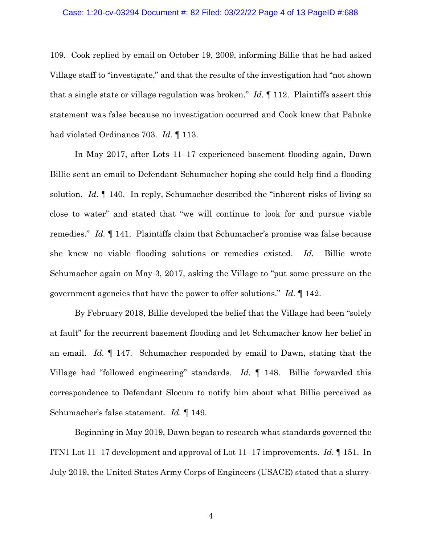#### Case: 1:20-cv-03294 Document #: 82 Filed: 03/22/22 Page 4 of 13 PageID #:688

109. Cook replied by email on October 19, 2009, informing Billie that he had asked Village staff to "investigate," and that the results of the investigation had "not shown that a single state or village regulation was broken." *Id.* ¶ 112. Plaintiffs assert this statement was false because no investigation occurred and Cook knew that Pahnke had violated Ordinance 703. *Id.* ¶ 113.

In May 2017, after Lots 11–17 experienced basement flooding again, Dawn Billie sent an email to Defendant Schumacher hoping she could help find a flooding solution. *Id.* ¶ 140. In reply, Schumacher described the "inherent risks of living so close to water" and stated that "we will continue to look for and pursue viable remedies." *Id.* ¶ 141. Plaintiffs claim that Schumacher's promise was false because she knew no viable flooding solutions or remedies existed. *Id.* Billie wrote Schumacher again on May 3, 2017, asking the Village to "put some pressure on the government agencies that have the power to offer solutions." *Id.* ¶ 142.

By February 2018, Billie developed the belief that the Village had been "solely at fault" for the recurrent basement flooding and let Schumacher know her belief in an email. *Id.* ¶ 147. Schumacher responded by email to Dawn, stating that the Village had "followed engineering" standards. *Id.* ¶ 148. Billie forwarded this correspondence to Defendant Slocum to notify him about what Billie perceived as Schumacher's false statement. *Id.* ¶ 149.

Beginning in May 2019, Dawn began to research what standards governed the ITN1 Lot 11–17 development and approval of Lot 11–17 improvements. *Id.* ¶ 151. In July 2019, the United States Army Corps of Engineers (USACE) stated that a slurry-

4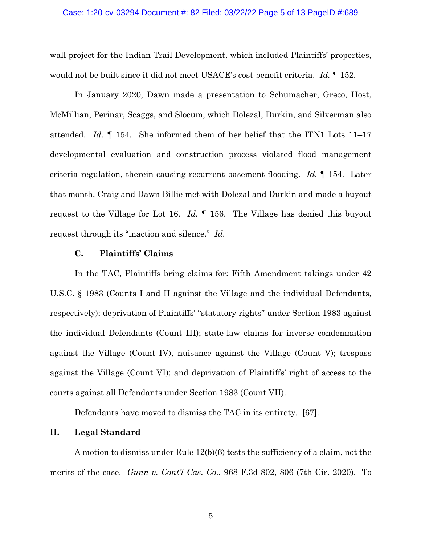wall project for the Indian Trail Development, which included Plaintiffs' properties, would not be built since it did not meet USACE's cost-benefit criteria. *Id.* ¶ 152.

In January 2020, Dawn made a presentation to Schumacher, Greco, Host, McMillian, Perinar, Scaggs, and Slocum, which Dolezal, Durkin, and Silverman also attended. *Id.* ¶ 154. She informed them of her belief that the ITN1 Lots 11–17 developmental evaluation and construction process violated flood management criteria regulation, therein causing recurrent basement flooding. *Id.* ¶ 154. Later that month, Craig and Dawn Billie met with Dolezal and Durkin and made a buyout request to the Village for Lot 16. *Id.* ¶ 156. The Village has denied this buyout request through its "inaction and silence." *Id.*

## **C. Plaintiffs' Claims**

In the TAC, Plaintiffs bring claims for: Fifth Amendment takings under 42 U.S.C. § 1983 (Counts I and II against the Village and the individual Defendants, respectively); deprivation of Plaintiffs' "statutory rights" under Section 1983 against the individual Defendants (Count III); state-law claims for inverse condemnation against the Village (Count IV), nuisance against the Village (Count V); trespass against the Village (Count VI); and deprivation of Plaintiffs' right of access to the courts against all Defendants under Section 1983 (Count VII).

Defendants have moved to dismiss the TAC in its entirety. [67].

## **II. Legal Standard**

A motion to dismiss under Rule 12(b)(6) tests the sufficiency of a claim, not the merits of the case. *Gunn v. Cont'l Cas. Co.*, 968 F.3d 802, 806 (7th Cir. 2020). To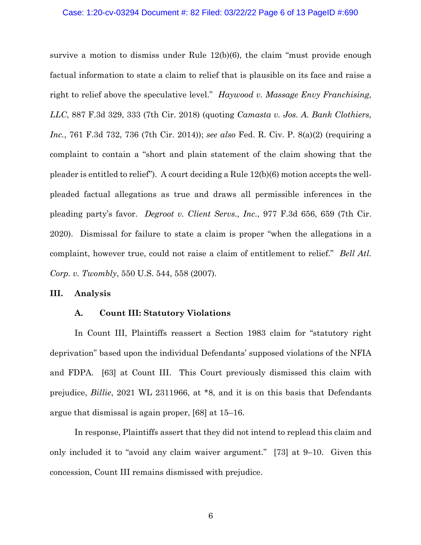### Case: 1:20-cv-03294 Document #: 82 Filed: 03/22/22 Page 6 of 13 PageID #:690

survive a motion to dismiss under Rule 12(b)(6), the claim "must provide enough factual information to state a claim to relief that is plausible on its face and raise a right to relief above the speculative level." *Haywood v. Massage Envy Franchising, LLC*, 887 F.3d 329, 333 (7th Cir. 2018) (quoting *Camasta v. Jos. A. Bank Clothiers, Inc.*, 761 F.3d 732, 736 (7th Cir. 2014)); *see also* Fed. R. Civ. P. 8(a)(2) (requiring a complaint to contain a "short and plain statement of the claim showing that the pleader is entitled to relief"). A court deciding a Rule 12(b)(6) motion accepts the wellpleaded factual allegations as true and draws all permissible inferences in the pleading party's favor. *Degroot v. Client Servs., Inc.*, 977 F.3d 656, 659 (7th Cir. 2020). Dismissal for failure to state a claim is proper "when the allegations in a complaint, however true, could not raise a claim of entitlement to relief." *Bell Atl. Corp. v. Twombly*, 550 U.S. 544, 558 (2007).

### **III. Analysis**

#### **A. Count III: Statutory Violations**

In Count III, Plaintiffs reassert a Section 1983 claim for "statutory right deprivation" based upon the individual Defendants' supposed violations of the NFIA and FDPA. [63] at Count III. This Court previously dismissed this claim with prejudice, *Billie*, 2021 WL 2311966, at \*8, and it is on this basis that Defendants argue that dismissal is again proper, [68] at 15–16.

In response, Plaintiffs assert that they did not intend to replead this claim and only included it to "avoid any claim waiver argument." [73] at 9–10. Given this concession, Count III remains dismissed with prejudice.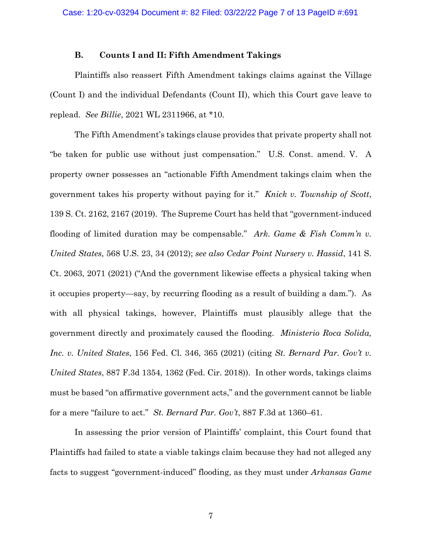## **B. Counts I and II: Fifth Amendment Takings**

Plaintiffs also reassert Fifth Amendment takings claims against the Village (Count I) and the individual Defendants (Count II), which this Court gave leave to replead. *See Billie*, 2021 WL 2311966, at \*10.

The Fifth Amendment's takings clause provides that private property shall not "be taken for public use without just compensation." U.S. Const. amend. V. A property owner possesses an "actionable Fifth Amendment takings claim when the government takes his property without paying for it." *Knick v. Township of Scott*, 139 S. Ct. 2162, 2167 (2019). The Supreme Court has held that "government-induced flooding of limited duration may be compensable." *Ark. Game & Fish Comm'n v. United States*, 568 U.S. 23, 34 (2012); *see also Cedar Point Nursery v. Hassid*, 141 S. Ct. 2063, 2071 (2021) ("And the government likewise effects a physical taking when it occupies property—say, by recurring flooding as a result of building a dam."). As with all physical takings, however, Plaintiffs must plausibly allege that the government directly and proximately caused the flooding. *Ministerio Roca Solida, Inc. v. United States*, 156 Fed. Cl. 346, 365 (2021) (citing *St. Bernard Par. Gov't v. United States*, 887 F.3d 1354, 1362 (Fed. Cir. 2018)). In other words, takings claims must be based "on affirmative government acts," and the government cannot be liable for a mere "failure to act." *St. Bernard Par. Gov't*, 887 F.3d at 1360–61.

In assessing the prior version of Plaintiffs' complaint, this Court found that Plaintiffs had failed to state a viable takings claim because they had not alleged any facts to suggest "government-induced" flooding, as they must under *Arkansas Game*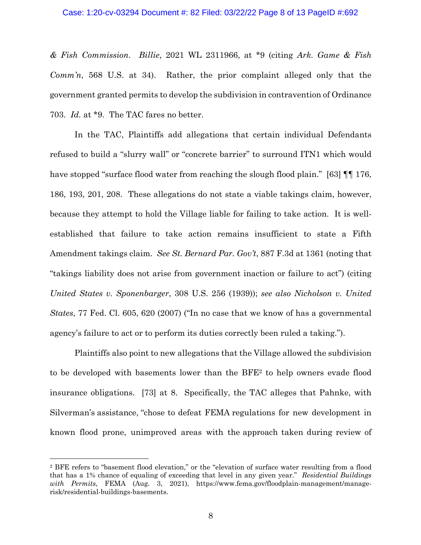### Case: 1:20-cv-03294 Document #: 82 Filed: 03/22/22 Page 8 of 13 PageID #:692

*& Fish Commission*. *Billie*, 2021 WL 2311966, at \*9 (citing *Ark. Game & Fish Comm'n*, 568 U.S. at 34). Rather, the prior complaint alleged only that the government granted permits to develop the subdivision in contravention of Ordinance 703. *Id.* at \*9. The TAC fares no better.

In the TAC, Plaintiffs add allegations that certain individual Defendants refused to build a "slurry wall" or "concrete barrier" to surround ITN1 which would have stopped "surface flood water from reaching the slough flood plain." [63] **[16]** 176, 186, 193, 201, 208. These allegations do not state a viable takings claim, however, because they attempt to hold the Village liable for failing to take action. It is wellestablished that failure to take action remains insufficient to state a Fifth Amendment takings claim. *See St. Bernard Par. Gov't*, 887 F.3d at 1361 (noting that "takings liability does not arise from government inaction or failure to act") (citing *United States v. Sponenbarger*, 308 U.S. 256 (1939)); *see also Nicholson v. United States*, 77 Fed. Cl. 605, 620 (2007) ("In no case that we know of has a governmental agency's failure to act or to perform its duties correctly been ruled a taking.").

Plaintiffs also point to new allegations that the Village allowed the subdivision to be developed with basements lower than the BFE2 to help owners evade flood insurance obligations. [73] at 8. Specifically, the TAC alleges that Pahnke, with Silverman's assistance, "chose to defeat FEMA regulations for new development in known flood prone, unimproved areas with the approach taken during review of

<sup>2</sup> BFE refers to "basement flood elevation," or the "elevation of surface water resulting from a flood that has a 1% chance of equaling of exceeding that level in any given year." *Residential Buildings*  with Permits, FEMA (Aug. 3, 2021), https://www.fema.gov/floodplain-management/managerisk/residential-buildings-basements.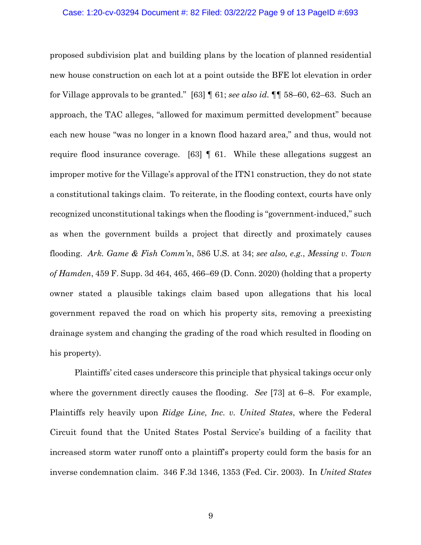#### Case: 1:20-cv-03294 Document #: 82 Filed: 03/22/22 Page 9 of 13 PageID #:693

proposed subdivision plat and building plans by the location of planned residential new house construction on each lot at a point outside the BFE lot elevation in order for Village approvals to be granted." [63] ¶ 61; *see also id.* ¶¶ 58–60, 62–63. Such an approach, the TAC alleges, "allowed for maximum permitted development" because each new house "was no longer in a known flood hazard area," and thus, would not require flood insurance coverage. [63] ¶ 61. While these allegations suggest an improper motive for the Village's approval of the ITN1 construction, they do not state a constitutional takings claim. To reiterate, in the flooding context, courts have only recognized unconstitutional takings when the flooding is "government-induced," such as when the government builds a project that directly and proximately causes flooding. *Ark. Game & Fish Comm'n*, 586 U.S. at 34; *see also, e.g.*, *Messing v. Town of Hamden*, 459 F. Supp. 3d 464, 465, 466–69 (D. Conn. 2020) (holding that a property owner stated a plausible takings claim based upon allegations that his local government repaved the road on which his property sits, removing a preexisting drainage system and changing the grading of the road which resulted in flooding on his property).

Plaintiffs' cited cases underscore this principle that physical takings occur only where the government directly causes the flooding. *See* [73] at 6–8. For example, Plaintiffs rely heavily upon *Ridge Line, Inc. v. United States*, where the Federal Circuit found that the United States Postal Service's building of a facility that increased storm water runoff onto a plaintiff's property could form the basis for an inverse condemnation claim. 346 F.3d 1346, 1353 (Fed. Cir. 2003). In *United States*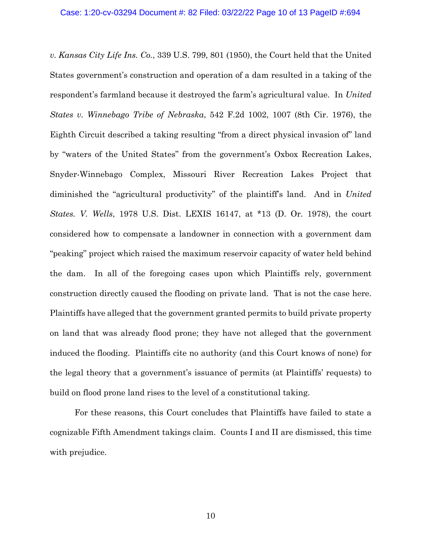*v. Kansas City Life Ins. Co.*, 339 U.S. 799, 801 (1950), the Court held that the United States government's construction and operation of a dam resulted in a taking of the respondent's farmland because it destroyed the farm's agricultural value. In *United States v. Winnebago Tribe of Nebraska*, 542 F.2d 1002, 1007 (8th Cir. 1976), the Eighth Circuit described a taking resulting "from a direct physical invasion of" land by "waters of the United States" from the government's Oxbox Recreation Lakes, Snyder-Winnebago Complex, Missouri River Recreation Lakes Project that diminished the "agricultural productivity" of the plaintiff's land. And in *United States. V. Wells*, 1978 U.S. Dist. LEXIS 16147, at \*13 (D. Or. 1978), the court considered how to compensate a landowner in connection with a government dam "peaking" project which raised the maximum reservoir capacity of water held behind the dam. In all of the foregoing cases upon which Plaintiffs rely, government construction directly caused the flooding on private land. That is not the case here. Plaintiffs have alleged that the government granted permits to build private property on land that was already flood prone; they have not alleged that the government induced the flooding. Plaintiffs cite no authority (and this Court knows of none) for the legal theory that a government's issuance of permits (at Plaintiffs' requests) to build on flood prone land rises to the level of a constitutional taking.

For these reasons, this Court concludes that Plaintiffs have failed to state a cognizable Fifth Amendment takings claim. Counts I and II are dismissed, this time with prejudice.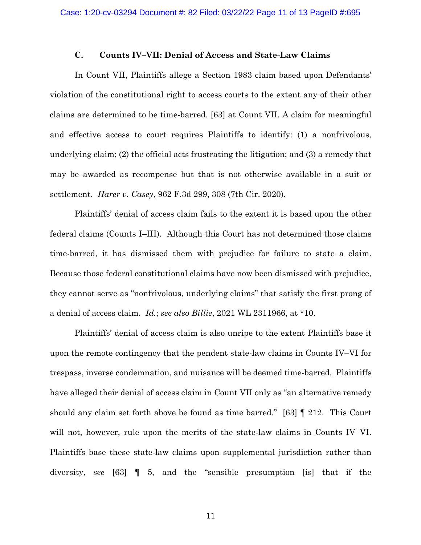### **C. Counts IV–VII: Denial of Access and State-Law Claims**

In Count VII, Plaintiffs allege a Section 1983 claim based upon Defendants' violation of the constitutional right to access courts to the extent any of their other claims are determined to be time-barred. [63] at Count VII. A claim for meaningful and effective access to court requires Plaintiffs to identify: (1) a nonfrivolous, underlying claim; (2) the official acts frustrating the litigation; and (3) a remedy that may be awarded as recompense but that is not otherwise available in a suit or settlement. *Harer v. Casey*, 962 F.3d 299, 308 (7th Cir. 2020).

Plaintiffs' denial of access claim fails to the extent it is based upon the other federal claims (Counts I–III). Although this Court has not determined those claims time-barred, it has dismissed them with prejudice for failure to state a claim. Because those federal constitutional claims have now been dismissed with prejudice, they cannot serve as "nonfrivolous, underlying claims" that satisfy the first prong of a denial of access claim. *Id.*; *see also Billie*, 2021 WL 2311966, at \*10.

Plaintiffs' denial of access claim is also unripe to the extent Plaintiffs base it upon the remote contingency that the pendent state-law claims in Counts IV–VI for trespass, inverse condemnation, and nuisance will be deemed time-barred. Plaintiffs have alleged their denial of access claim in Count VII only as "an alternative remedy should any claim set forth above be found as time barred." [63] ¶ 212. This Court will not, however, rule upon the merits of the state-law claims in Counts IV–VI. Plaintiffs base these state-law claims upon supplemental jurisdiction rather than diversity, *see* [63] ¶ 5, and the "sensible presumption [is] that if the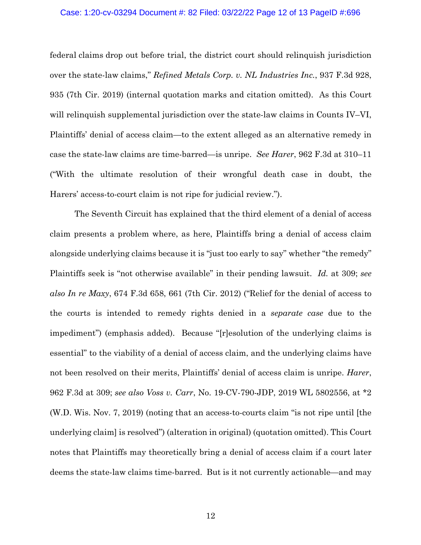#### Case: 1:20-cv-03294 Document #: 82 Filed: 03/22/22 Page 12 of 13 PageID #:696

federal claims drop out before trial, the district court should relinquish jurisdiction over the state-law claims," *Refined Metals Corp. v. NL Industries Inc.*, 937 F.3d 928, 935 (7th Cir. 2019) (internal quotation marks and citation omitted). As this Court will relinquish supplemental jurisdiction over the state-law claims in Counts IV–VI, Plaintiffs' denial of access claim—to the extent alleged as an alternative remedy in case the state-law claims are time-barred—is unripe. *See Harer*, 962 F.3d at 310–11 ("With the ultimate resolution of their wrongful death case in doubt, the Harers' access-to-court claim is not ripe for judicial review.").

The Seventh Circuit has explained that the third element of a denial of access claim presents a problem where, as here, Plaintiffs bring a denial of access claim alongside underlying claims because it is "just too early to say" whether "the remedy" Plaintiffs seek is "not otherwise available" in their pending lawsuit. *Id.* at 309; *see also In re Maxy*, 674 F.3d 658, 661 (7th Cir. 2012) ("Relief for the denial of access to the courts is intended to remedy rights denied in a *separate case* due to the impediment") (emphasis added). Because "[r]esolution of the underlying claims is essential" to the viability of a denial of access claim, and the underlying claims have not been resolved on their merits, Plaintiffs' denial of access claim is unripe. *Harer*, 962 F.3d at 309; *see also Voss v. Carr*, No. 19-CV-790-JDP, 2019 WL 5802556, at \*2 (W.D. Wis. Nov. 7, 2019) (noting that an access-to-courts claim "is not ripe until [the underlying claim] is resolved") (alteration in original) (quotation omitted). This Court notes that Plaintiffs may theoretically bring a denial of access claim if a court later deems the state-law claims time-barred. But is it not currently actionable—and may